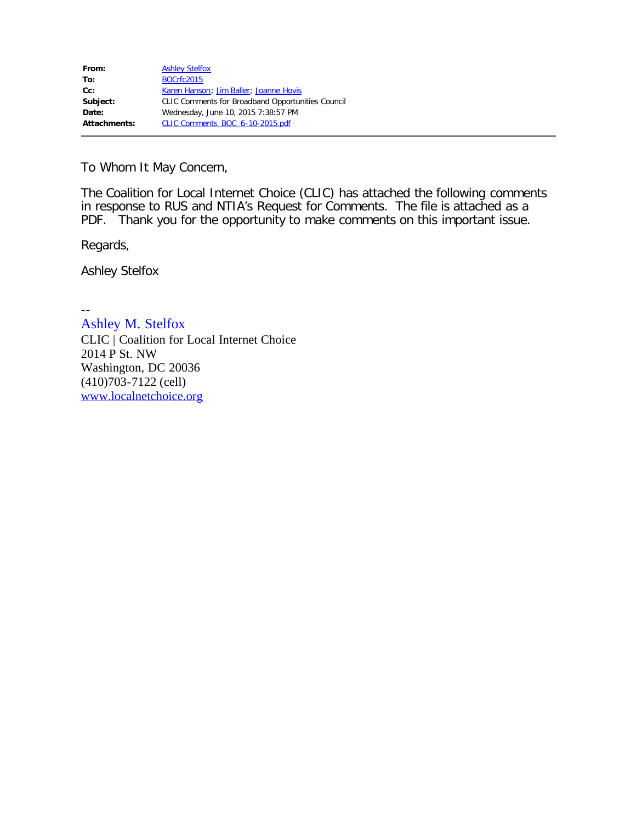| From:        | <b>Ashley Stelfox</b>                             |
|--------------|---------------------------------------------------|
| To:          | <b>BOCrfc2015</b>                                 |
| $Cc$ :       | Karen Hanson; Jim Baller; Joanne Hovis            |
| Subject:     | CLIC Comments for Broadband Opportunities Council |
| Date:        | Wednesday, June 10, 2015 7:38:57 PM               |
| Attachments: | CLIC Comments BOC 6-10-2015.pdf                   |

To Whom It May Concern,

The Coalition for Local Internet Choice (CLIC) has attached the following comments in response to RUS and NTIA's Request for Comments. The file is attached as a PDF. Thank you for the opportunity to make comments on this important issue.

Regards,

Ashley Stelfox

#### -- Ashley M. Stelfox

CLIC | Coalition for Local Internet Choice 2014 P St. NW Washington, DC 20036 (410)703-7122 (cell) [www.localnetchoice.org](http://www.localnetchoice.org/)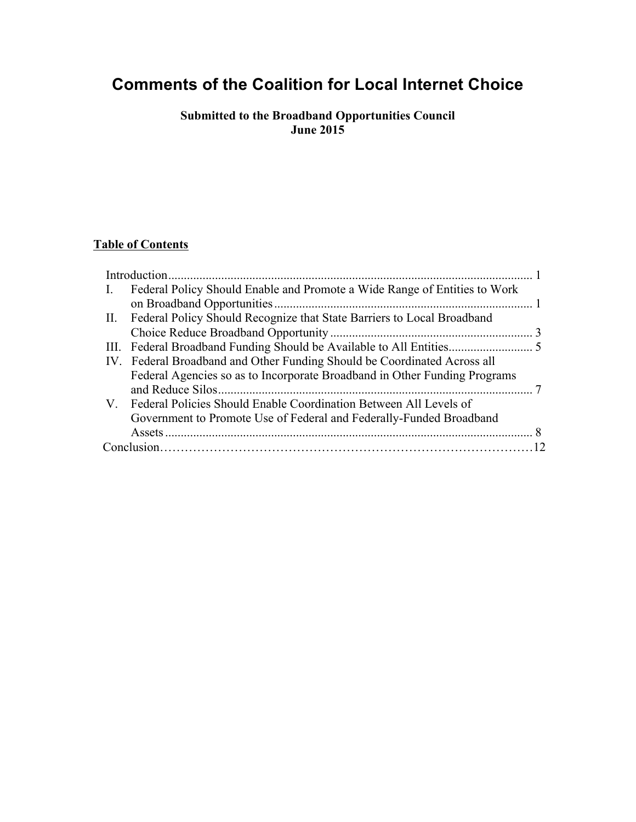# **Comments of the Coalition for Local Internet Choice**

#### **Submitted to the Broadband Opportunities Council June 2015**

#### **Table of Contents**

|             | Introduction.                                                             |                |
|-------------|---------------------------------------------------------------------------|----------------|
| $\Gamma$    | Federal Policy Should Enable and Promote a Wide Range of Entities to Work |                |
|             |                                                                           |                |
| П.          | Federal Policy Should Recognize that State Barriers to Local Broadband    |                |
|             |                                                                           |                |
|             |                                                                           |                |
|             | IV. Federal Broadband and Other Funding Should be Coordinated Across all  |                |
|             | Federal Agencies so as to Incorporate Broadband in Other Funding Programs |                |
|             | and Reduce Silos                                                          |                |
| $V_{\cdot}$ | Federal Policies Should Enable Coordination Between All Levels of         |                |
|             | Government to Promote Use of Federal and Federally-Funded Broadband       |                |
|             |                                                                           |                |
|             |                                                                           | $\overline{1}$ |
|             |                                                                           |                |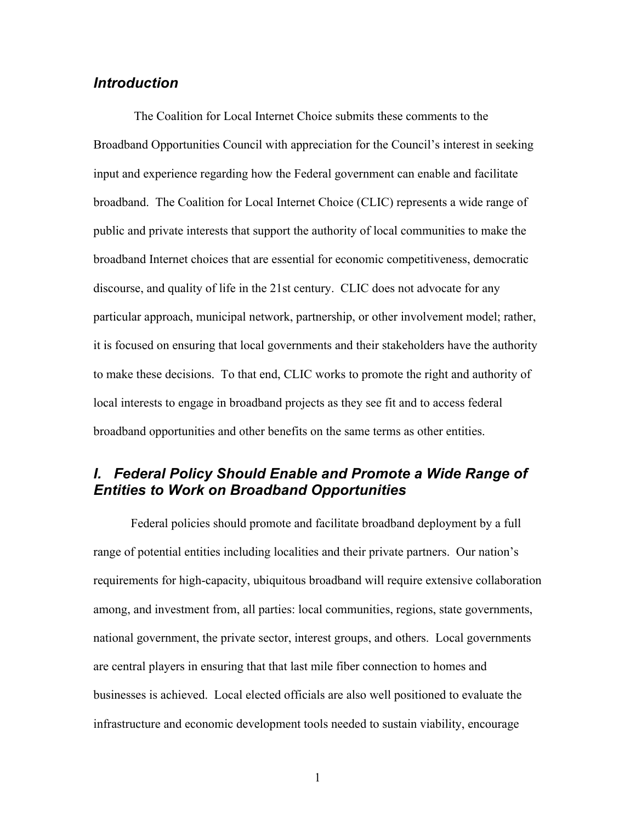#### *Introduction*

The Coalition for Local Internet Choice submits these comments to the Broadband Opportunities Council with appreciation for the Council's interest in seeking input and experience regarding how the Federal government can enable and facilitate broadband. The Coalition for Local Internet Choice (CLIC) represents a wide range of public and private interests that support the authority of local communities to make the broadband Internet choices that are essential for economic competitiveness, democratic discourse, and quality of life in the 21st century. CLIC does not advocate for any particular approach, municipal network, partnership, or other involvement model; rather, it is focused on ensuring that local governments and their stakeholders have the authority to make these decisions. To that end, CLIC works to promote the right and authority of local interests to engage in broadband projects as they see fit and to access federal broadband opportunities and other benefits on the same terms as other entities.

# *I. Federal Policy Should Enable and Promote a Wide Range of Entities to Work on Broadband Opportunities*

Federal policies should promote and facilitate broadband deployment by a full range of potential entities including localities and their private partners. Our nation's requirements for high-capacity, ubiquitous broadband will require extensive collaboration among, and investment from, all parties: local communities, regions, state governments, national government, the private sector, interest groups, and others. Local governments are central players in ensuring that that last mile fiber connection to homes and businesses is achieved. Local elected officials are also well positioned to evaluate the infrastructure and economic development tools needed to sustain viability, encourage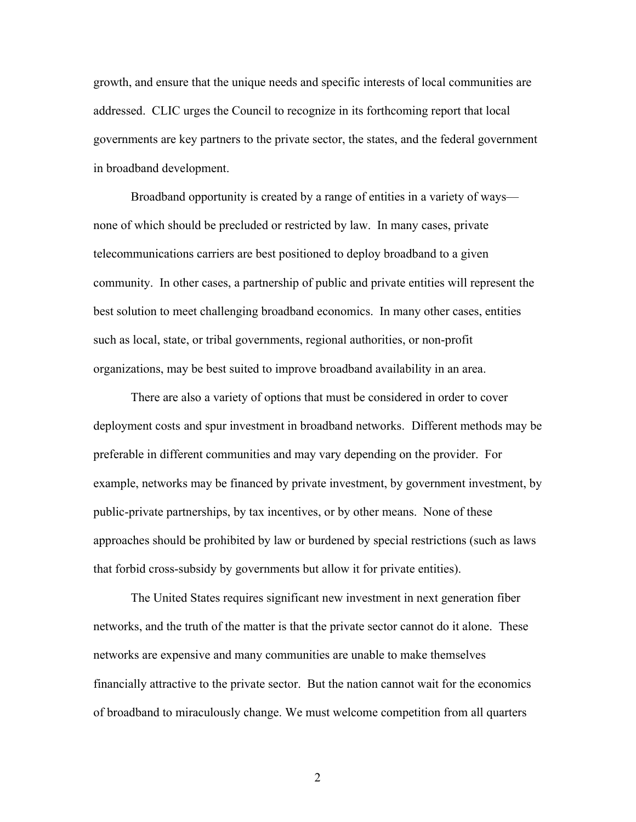growth, and ensure that the unique needs and specific interests of local communities are addressed. CLIC urges the Council to recognize in its forthcoming report that local governments are key partners to the private sector, the states, and the federal government in broadband development.

Broadband opportunity is created by a range of entities in a variety of ways none of which should be precluded or restricted by law. In many cases, private telecommunications carriers are best positioned to deploy broadband to a given community. In other cases, a partnership of public and private entities will represent the best solution to meet challenging broadband economics. In many other cases, entities such as local, state, or tribal governments, regional authorities, or non-profit organizations, may be best suited to improve broadband availability in an area.

There are also a variety of options that must be considered in order to cover deployment costs and spur investment in broadband networks. Different methods may be preferable in different communities and may vary depending on the provider. For example, networks may be financed by private investment, by government investment, by public-private partnerships, by tax incentives, or by other means. None of these approaches should be prohibited by law or burdened by special restrictions (such as laws that forbid cross-subsidy by governments but allow it for private entities).

The United States requires significant new investment in next generation fiber networks, and the truth of the matter is that the private sector cannot do it alone. These networks are expensive and many communities are unable to make themselves financially attractive to the private sector. But the nation cannot wait for the economics of broadband to miraculously change. We must welcome competition from all quarters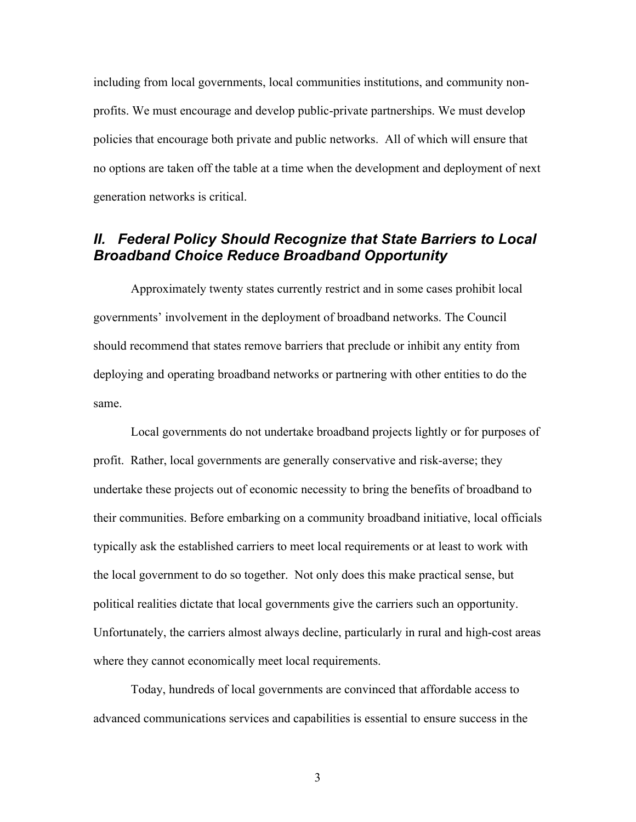including from local governments, local communities institutions, and community nonprofits. We must encourage and develop public-private partnerships. We must develop policies that encourage both private and public networks. All of which will ensure that no options are taken off the table at a time when the development and deployment of next generation networks is critical.

## *II. Federal Policy Should Recognize that State Barriers to Local Broadband Choice Reduce Broadband Opportunity*

Approximately twenty states currently restrict and in some cases prohibit local governments' involvement in the deployment of broadband networks. The Council should recommend that states remove barriers that preclude or inhibit any entity from deploying and operating broadband networks or partnering with other entities to do the same.

Local governments do not undertake broadband projects lightly or for purposes of profit. Rather, local governments are generally conservative and risk-averse; they undertake these projects out of economic necessity to bring the benefits of broadband to their communities. Before embarking on a community broadband initiative, local officials typically ask the established carriers to meet local requirements or at least to work with the local government to do so together. Not only does this make practical sense, but political realities dictate that local governments give the carriers such an opportunity. Unfortunately, the carriers almost always decline, particularly in rural and high-cost areas where they cannot economically meet local requirements.

Today, hundreds of local governments are convinced that affordable access to advanced communications services and capabilities is essential to ensure success in the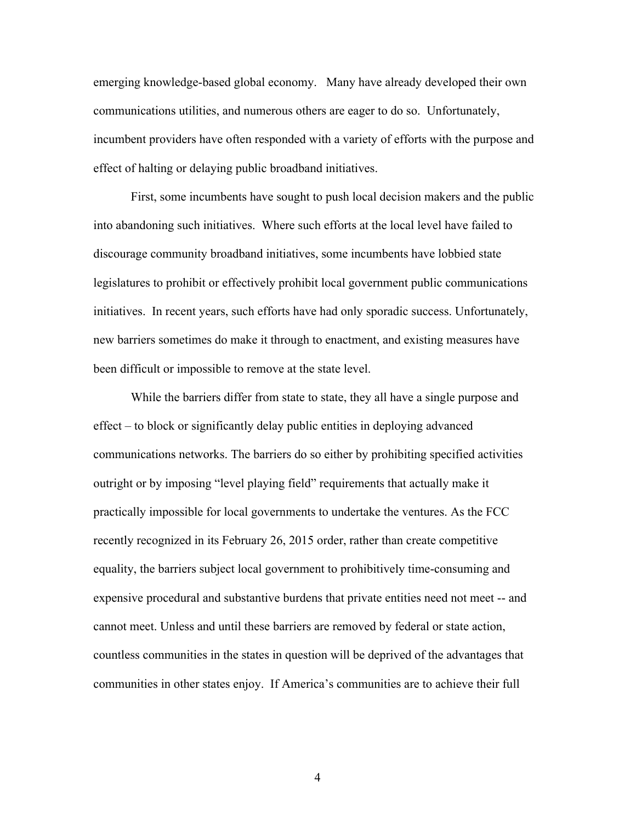emerging knowledge-based global economy. Many have already developed their own communications utilities, and numerous others are eager to do so. Unfortunately, incumbent providers have often responded with a variety of efforts with the purpose and effect of halting or delaying public broadband initiatives.

First, some incumbents have sought to push local decision makers and the public into abandoning such initiatives. Where such efforts at the local level have failed to discourage community broadband initiatives, some incumbents have lobbied state legislatures to prohibit or effectively prohibit local government public communications initiatives. In recent years, such efforts have had only sporadic success. Unfortunately, new barriers sometimes do make it through to enactment, and existing measures have been difficult or impossible to remove at the state level.

While the barriers differ from state to state, they all have a single purpose and effect – to block or significantly delay public entities in deploying advanced communications networks. The barriers do so either by prohibiting specified activities outright or by imposing "level playing field" requirements that actually make it practically impossible for local governments to undertake the ventures. As the FCC recently recognized in its February 26, 2015 order, rather than create competitive equality, the barriers subject local government to prohibitively time-consuming and expensive procedural and substantive burdens that private entities need not meet -- and cannot meet. Unless and until these barriers are removed by federal or state action, countless communities in the states in question will be deprived of the advantages that communities in other states enjoy. If America's communities are to achieve their full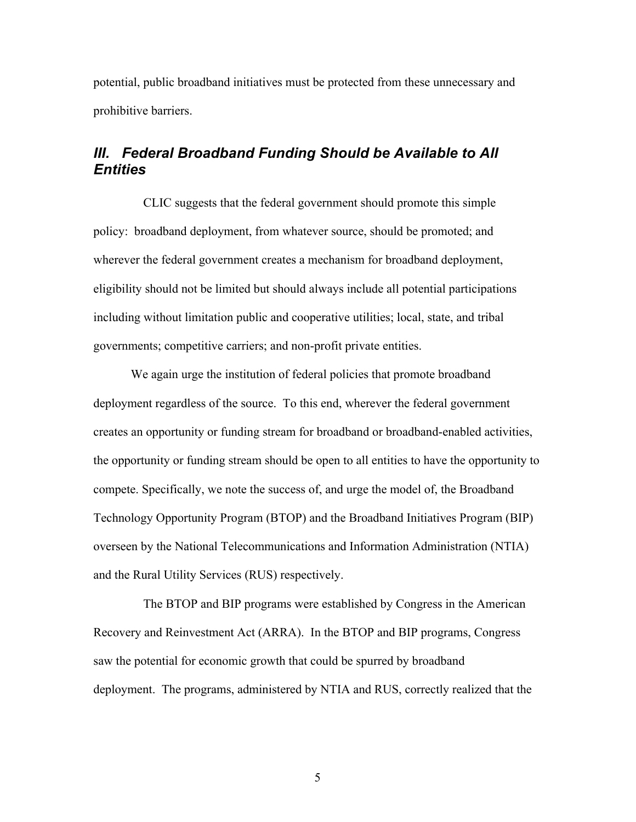potential, public broadband initiatives must be protected from these unnecessary and prohibitive barriers.

### *III. Federal Broadband Funding Should be Available to All Entities*

CLIC suggests that the federal government should promote this simple policy: broadband deployment, from whatever source, should be promoted; and wherever the federal government creates a mechanism for broadband deployment, eligibility should not be limited but should always include all potential participations including without limitation public and cooperative utilities; local, state, and tribal governments; competitive carriers; and non-profit private entities.

We again urge the institution of federal policies that promote broadband deployment regardless of the source. To this end, wherever the federal government creates an opportunity or funding stream for broadband or broadband-enabled activities, the opportunity or funding stream should be open to all entities to have the opportunity to compete. Specifically, we note the success of, and urge the model of, the Broadband Technology Opportunity Program (BTOP) and the Broadband Initiatives Program (BIP) overseen by the National Telecommunications and Information Administration (NTIA) and the Rural Utility Services (RUS) respectively.

The BTOP and BIP programs were established by Congress in the American Recovery and Reinvestment Act (ARRA). In the BTOP and BIP programs, Congress saw the potential for economic growth that could be spurred by broadband deployment. The programs, administered by NTIA and RUS, correctly realized that the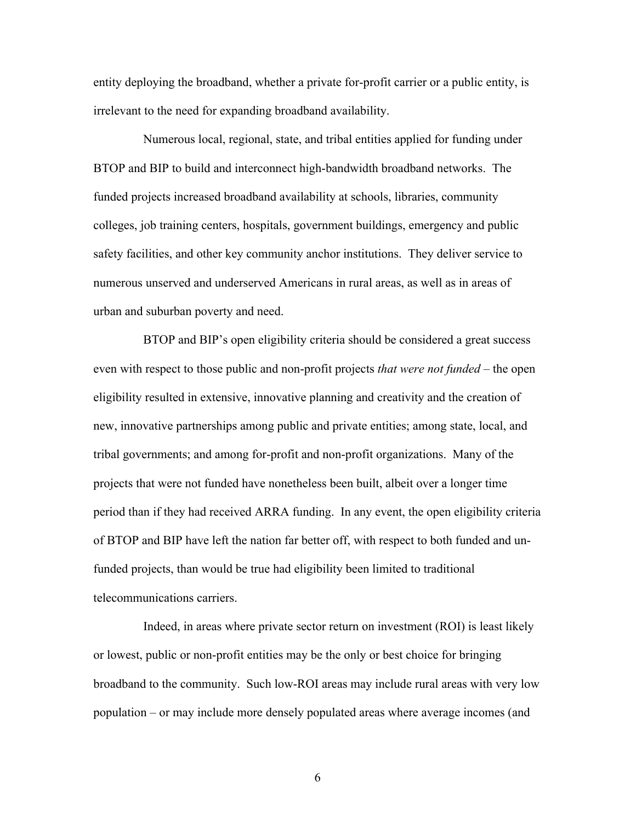entity deploying the broadband, whether a private for-profit carrier or a public entity, is irrelevant to the need for expanding broadband availability.

Numerous local, regional, state, and tribal entities applied for funding under BTOP and BIP to build and interconnect high-bandwidth broadband networks. The funded projects increased broadband availability at schools, libraries, community colleges, job training centers, hospitals, government buildings, emergency and public safety facilities, and other key community anchor institutions. They deliver service to numerous unserved and underserved Americans in rural areas, as well as in areas of urban and suburban poverty and need.

BTOP and BIP's open eligibility criteria should be considered a great success even with respect to those public and non-profit projects *that were not funded* – the open eligibility resulted in extensive, innovative planning and creativity and the creation of new, innovative partnerships among public and private entities; among state, local, and tribal governments; and among for-profit and non-profit organizations. Many of the projects that were not funded have nonetheless been built, albeit over a longer time period than if they had received ARRA funding. In any event, the open eligibility criteria of BTOP and BIP have left the nation far better off, with respect to both funded and unfunded projects, than would be true had eligibility been limited to traditional telecommunications carriers.

Indeed, in areas where private sector return on investment (ROI) is least likely or lowest, public or non-profit entities may be the only or best choice for bringing broadband to the community. Such low-ROI areas may include rural areas with very low population – or may include more densely populated areas where average incomes (and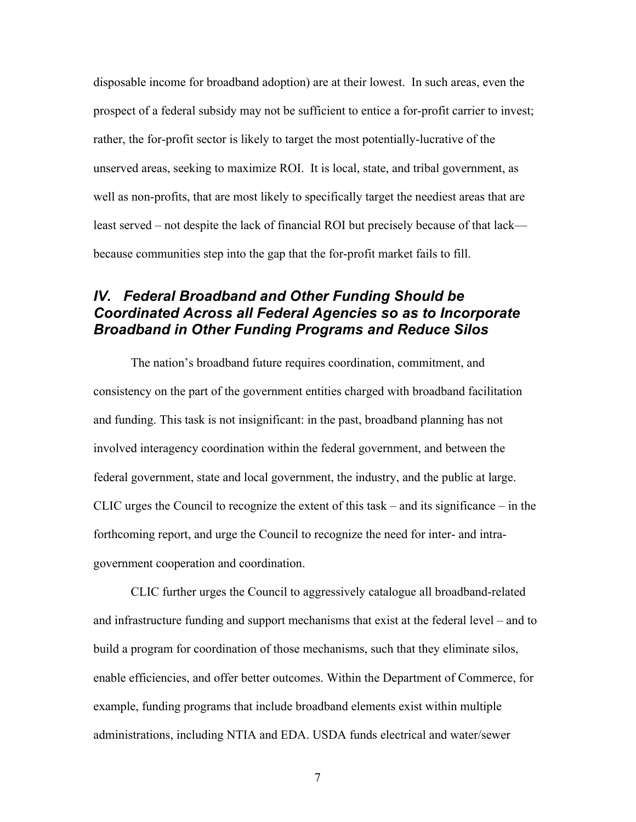disposable income for broadband adoption) are at their lowest. In such areas, even the prospect of a federal subsidy may not be sufficient to entice a for-profit carrier to invest; rather, the for-profit sector is likely to target the most potentially-lucrative of the unserved areas, seeking to maximize ROI. It is local, state, and tribal government, as well as non-profits, that are most likely to specifically target the neediest areas that are least served – not despite the lack of financial ROI but precisely because of that lack because communities step into the gap that the for-profit market fails to fill.

## *IV. Federal Broadband and Other Funding Should be Coordinated Across all Federal Agencies so as to Incorporate Broadband in Other Funding Programs and Reduce Silos*

The nation's broadband future requires coordination, commitment, and consistency on the part of the government entities charged with broadband facilitation and funding. This task is not insignificant: in the past, broadband planning has not involved interagency coordination within the federal government, and between the federal government, state and local government, the industry, and the public at large. CLIC urges the Council to recognize the extent of this task – and its significance – in the forthcoming report, and urge the Council to recognize the need for inter- and intragovernment cooperation and coordination.

CLIC further urges the Council to aggressively catalogue all broadband-related and infrastructure funding and support mechanisms that exist at the federal level – and to build a program for coordination of those mechanisms, such that they eliminate silos, enable efficiencies, and offer better outcomes. Within the Department of Commerce, for example, funding programs that include broadband elements exist within multiple administrations, including NTIA and EDA. USDA funds electrical and water/sewer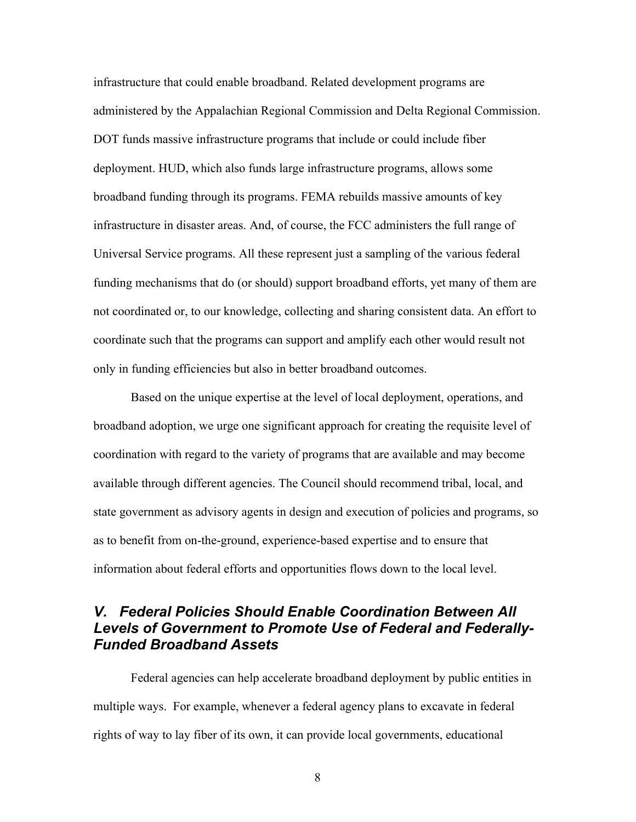infrastructure that could enable broadband. Related development programs are administered by the Appalachian Regional Commission and Delta Regional Commission. DOT funds massive infrastructure programs that include or could include fiber deployment. HUD, which also funds large infrastructure programs, allows some broadband funding through its programs. FEMA rebuilds massive amounts of key infrastructure in disaster areas. And, of course, the FCC administers the full range of Universal Service programs. All these represent just a sampling of the various federal funding mechanisms that do (or should) support broadband efforts, yet many of them are not coordinated or, to our knowledge, collecting and sharing consistent data. An effort to coordinate such that the programs can support and amplify each other would result not only in funding efficiencies but also in better broadband outcomes.

Based on the unique expertise at the level of local deployment, operations, and broadband adoption, we urge one significant approach for creating the requisite level of coordination with regard to the variety of programs that are available and may become available through different agencies. The Council should recommend tribal, local, and state government as advisory agents in design and execution of policies and programs, so as to benefit from on-the-ground, experience-based expertise and to ensure that information about federal efforts and opportunities flows down to the local level.

# *V. Federal Policies Should Enable Coordination Between All Levels of Government to Promote Use of Federal and Federally-Funded Broadband Assets*

Federal agencies can help accelerate broadband deployment by public entities in multiple ways. For example, whenever a federal agency plans to excavate in federal rights of way to lay fiber of its own, it can provide local governments, educational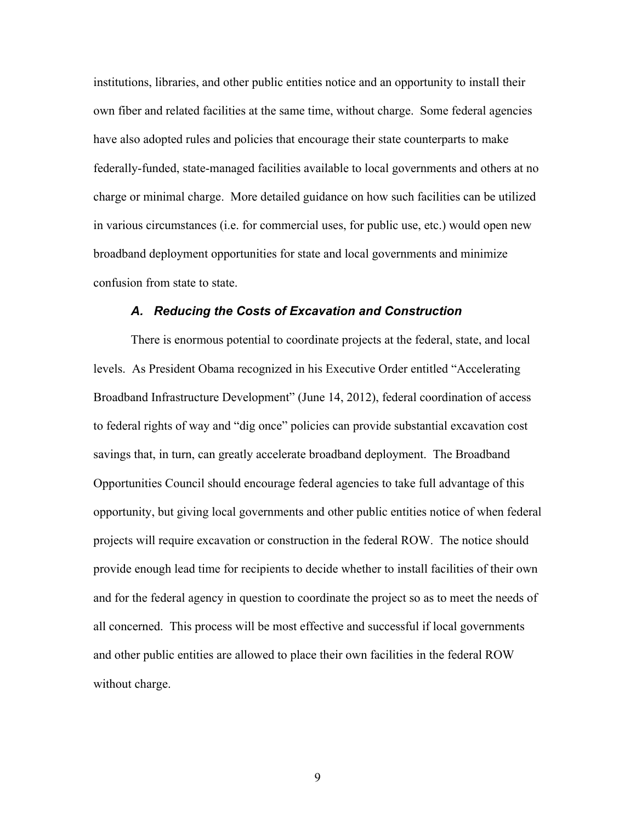institutions, libraries, and other public entities notice and an opportunity to install their own fiber and related facilities at the same time, without charge. Some federal agencies have also adopted rules and policies that encourage their state counterparts to make federally-funded, state-managed facilities available to local governments and others at no charge or minimal charge. More detailed guidance on how such facilities can be utilized in various circumstances (i.e. for commercial uses, for public use, etc.) would open new broadband deployment opportunities for state and local governments and minimize confusion from state to state.

#### *A. Reducing the Costs of Excavation and Construction*

There is enormous potential to coordinate projects at the federal, state, and local levels. As President Obama recognized in his Executive Order entitled "Accelerating Broadband Infrastructure Development" (June 14, 2012), federal coordination of access to federal rights of way and "dig once" policies can provide substantial excavation cost savings that, in turn, can greatly accelerate broadband deployment. The Broadband Opportunities Council should encourage federal agencies to take full advantage of this opportunity, but giving local governments and other public entities notice of when federal projects will require excavation or construction in the federal ROW. The notice should provide enough lead time for recipients to decide whether to install facilities of their own and for the federal agency in question to coordinate the project so as to meet the needs of all concerned. This process will be most effective and successful if local governments and other public entities are allowed to place their own facilities in the federal ROW without charge.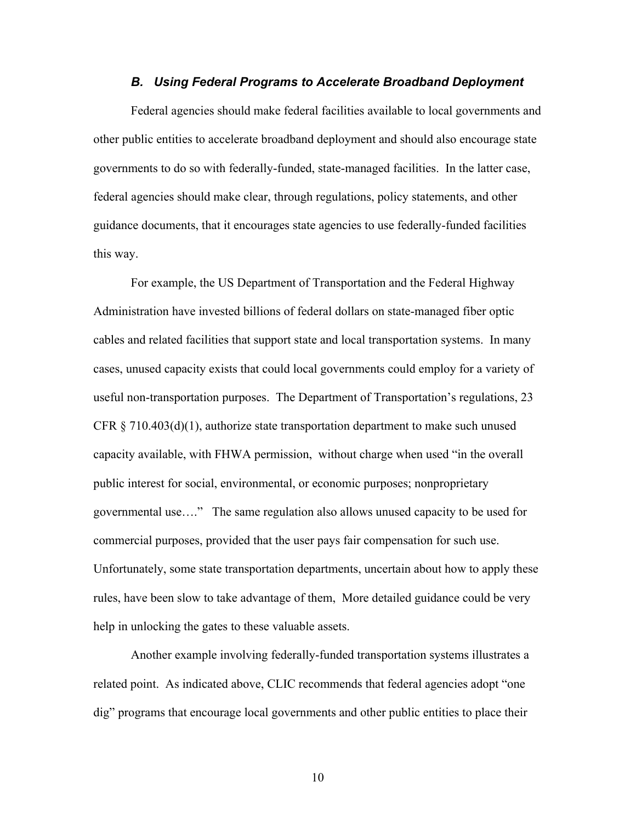#### *B. Using Federal Programs to Accelerate Broadband Deployment*

Federal agencies should make federal facilities available to local governments and other public entities to accelerate broadband deployment and should also encourage state governments to do so with federally-funded, state-managed facilities. In the latter case, federal agencies should make clear, through regulations, policy statements, and other guidance documents, that it encourages state agencies to use federally-funded facilities this way.

For example, the US Department of Transportation and the Federal Highway Administration have invested billions of federal dollars on state-managed fiber optic cables and related facilities that support state and local transportation systems. In many cases, unused capacity exists that could local governments could employ for a variety of useful non-transportation purposes. The Department of Transportation's regulations, 23 CFR  $\S$  710.403(d)(1), authorize state transportation department to make such unused capacity available, with FHWA permission, without charge when used "in the overall public interest for social, environmental, or economic purposes; nonproprietary governmental use…." The same regulation also allows unused capacity to be used for commercial purposes, provided that the user pays fair compensation for such use. Unfortunately, some state transportation departments, uncertain about how to apply these rules, have been slow to take advantage of them, More detailed guidance could be very help in unlocking the gates to these valuable assets.

Another example involving federally-funded transportation systems illustrates a related point. As indicated above, CLIC recommends that federal agencies adopt "one dig" programs that encourage local governments and other public entities to place their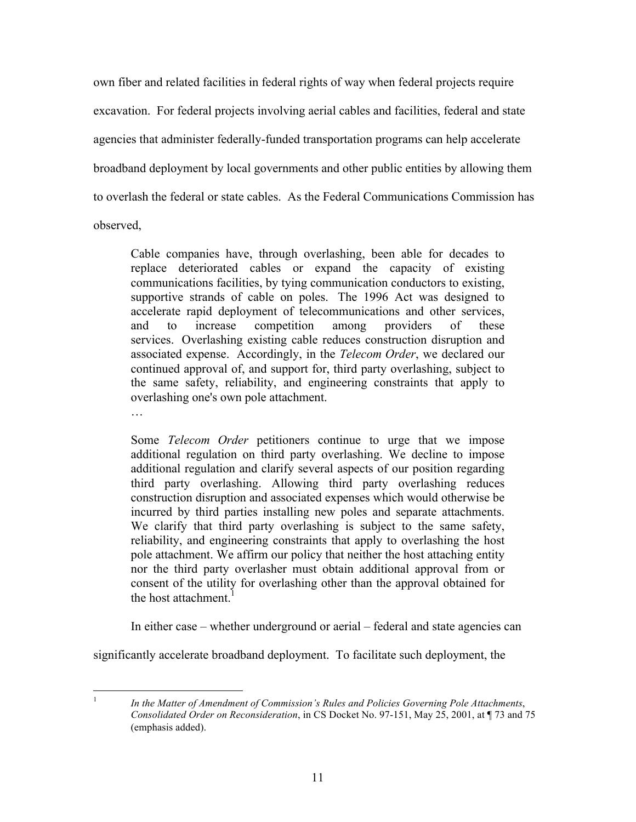own fiber and related facilities in federal rights of way when federal projects require excavation. For federal projects involving aerial cables and facilities, federal and state agencies that administer federally-funded transportation programs can help accelerate broadband deployment by local governments and other public entities by allowing them to overlash the federal or state cables. As the Federal Communications Commission has

observed,

Cable companies have, through overlashing, been able for decades to replace deteriorated cables or expand the capacity of existing communications facilities, by tying communication conductors to existing, supportive strands of cable on poles. The 1996 Act was designed to accelerate rapid deployment of telecommunications and other services, and to increase competition among providers of these services. Overlashing existing cable reduces construction disruption and associated expense. Accordingly, in the *Telecom Order*, we declared our continued approval of, and support for, third party overlashing, subject to the same safety, reliability, and engineering constraints that apply to overlashing one's own pole attachment.

…

Some *Telecom Order* petitioners continue to urge that we impose additional regulation on third party overlashing. We decline to impose additional regulation and clarify several aspects of our position regarding third party overlashing. Allowing third party overlashing reduces construction disruption and associated expenses which would otherwise be incurred by third parties installing new poles and separate attachments. We clarify that third party overlashing is subject to the same safety, reliability, and engineering constraints that apply to overlashing the host pole attachment. We affirm our policy that neither the host attaching entity nor the third party overlasher must obtain additional approval from or consent of the utility for overlashing other than the approval obtained for the host attachment.<sup>1</sup>

In either case – whether underground or aerial – federal and state agencies can

significantly accelerate broadband deployment. To facilitate such deployment, the

 1 *In the Matter of Amendment of Commission's Rules and Policies Governing Pole Attachments*, *Consolidated Order on Reconsideration*, in CS Docket No. 97-151, May 25, 2001, at ¶ 73 and 75 (emphasis added).